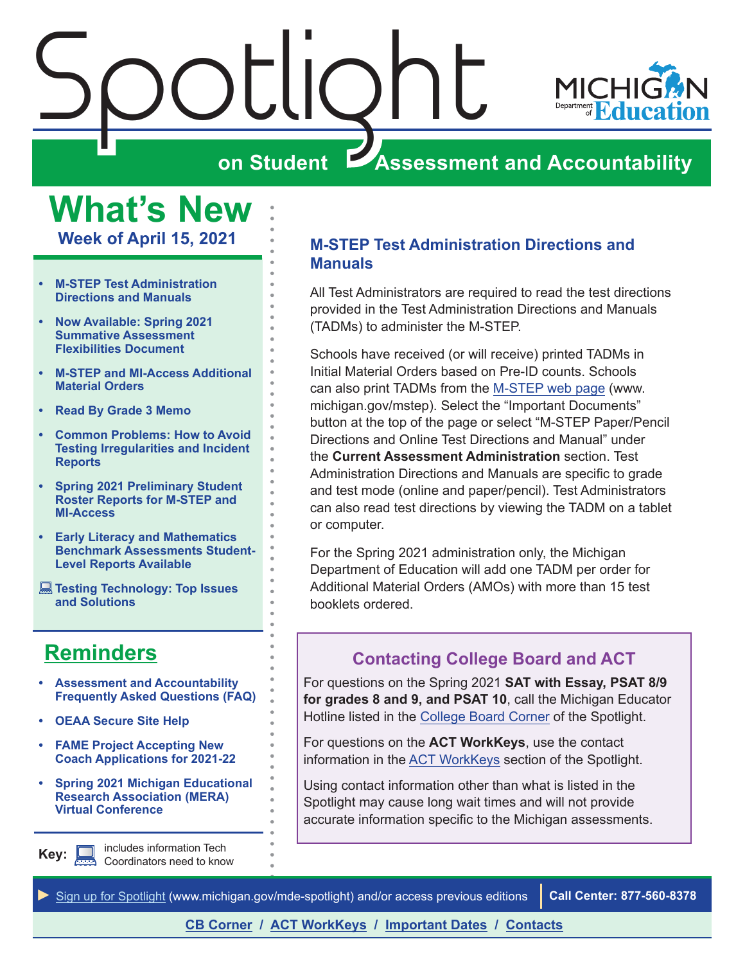<span id="page-0-0"></span>



# **on Student Assessment and Accountability**

**What's New Week of April 15, 2021**

- **• M-STEP Test Administration Directions and Manuals**
- **• [Now Available: Spring 2021](#page-1-0)  [Summative Assessment](#page-1-0)  [Flexibilities Document](#page-1-0)**
- **• [M-STEP and MI-Access Additional](#page-1-0)  [Material Orders](#page-1-0)**
- **• [Read By Grade 3 Memo](#page-1-0)**
- **• [Common Problems: How to Avoid](#page-1-0)  [Testing Irregularities and Incident](#page-1-0)  [Reports](#page-1-0)**
- **• [Spring 2021 Preliminary Student](#page-2-0)  [Roster Reports for M-STEP and](#page-2-0)  [MI-Access](#page-2-0)**
- **• [Early Literacy and Mathematics](#page-3-0)  [Benchmark Assessments Student-](#page-3-0)[Level Reports Available](#page-3-0)**
- **[Testing Technology: Top Issues](#page-3-0)  [and Solutions](#page-3-0)**

# **[Reminders](#page-5-0)**

- **• [Assessment and Accountability](#page-5-1)  [Frequently Asked Questions \(FAQ\)](#page-5-1)**
- **• [OEAA Secure Site Help](#page-5-1)**
- **• [FAME Project Accepting New](#page-5-1)  [Coach Applications for 2021-22](#page-5-1)**
- **• [Spring 2021 Michigan Educational](#page-5-1)  [Research Association \(MERA\)](#page-5-1)  [Virtual Conference](#page-5-1)**

includes information Tech Coordinators need to know **Key:**

# **M-STEP Test Administration Directions and Manuals**

All Test Administrators are required to read the test directions provided in the Test Administration Directions and Manuals (TADMs) to administer the M-STEP.

Schools have received (or will receive) printed TADMs in Initial Material Orders based on Pre-ID counts. Schools can also print TADMs from the [M-STEP web page](www.michigan.gov/mstep) (www. michigan.gov/mstep). Select the "Important Documents" button at the top of the page or select "M-STEP Paper/Pencil Directions and Online Test Directions and Manual" under the **Current Assessment Administration** section. Test Administration Directions and Manuals are specific to grade and test mode (online and paper/pencil). Test Administrators can also read test directions by viewing the TADM on a tablet or computer.

For the Spring 2021 administration only, the Michigan Department of Education will add one TADM per order for Additional Material Orders (AMOs) with more than 15 test booklets ordered.

# **Contacting College Board and ACT**

For questions on the Spring 2021 **SAT with Essay, PSAT 8/9 for grades 8 and 9, and PSAT 10**, call the Michigan Educator Hotline listed in the [College Board Corner](#page-7-0) of the Spotlight.

For questions on the **ACT WorkKeys**, use the contact information in the [ACT WorkKeys](#page-9-0) section of the Spotlight.

Using contact information other than what is listed in the Spotlight may cause long wait times and will not provide accurate information specific to the Michigan assessments.

*►* [Sign up for Spotlight](https://public.govdelivery.com/accounts/MIMDE/subscriber/new) [\(www.michigan.gov/mde](www.michigan.gov/mde-spotlight)-spotlight) and/or access previous editions **Call Center: 877-560-8378**

# **[CB Corner](#page-7-0) / [ACT WorkKeys](#page-9-0) / [Important Dates](#page-12-0) / [Contacts](#page-14-0)**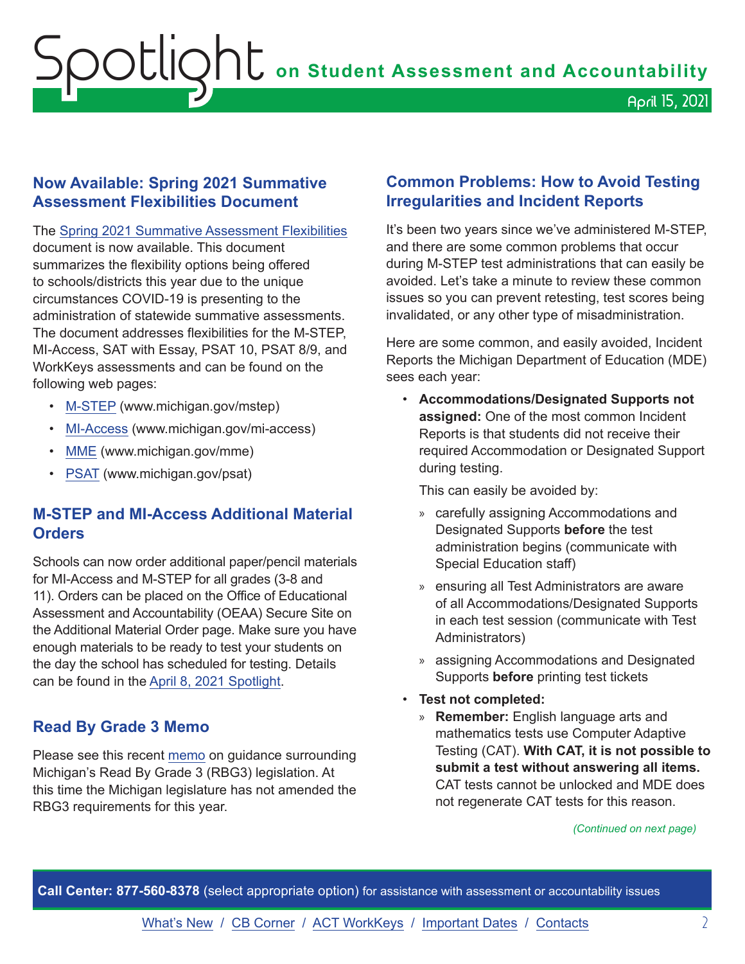# <span id="page-1-0"></span>**Now Available: Spring 2021 Summative Assessment Flexibilities Document**

The [Spring 2021 Summative Assessment Flexibilities](https://www.michigan.gov/documents/mde/Spring_2021_Summative_Assessment_Flexibility_Options__722317_7.pdf) document is now available. This document summarizes the flexibility options being offered to schools/districts this year due to the unique circumstances COVID-19 is presenting to the administration of statewide summative assessments. The document addresses flexibilities for the M-STEP, MI-Access, SAT with Essay, PSAT 10, PSAT 8/9, and WorkKeys assessments and can be found on the following web pages:

- [M-STEP](www.michigan.gov/mstep) (www.michigan.gov/mstep)
- [MI-Access](http://www.michigan.gov/mi-access) (www.michigan.gov/mi-access)
- [MME](www.michigan.gov/mme) (www.michigan.gov/mme)
- [PSAT](http://www.michigan.gov/psat) (www.michigan.gov/psat)

# **M-STEP and MI-Access Additional Material Orders**

Schools can now order additional paper/pencil materials for MI-Access and M-STEP for all grades (3-8 and 11). Orders can be placed on the Office of Educational Assessment and Accountability (OEAA) Secure Site on the Additional Material Order page. Make sure you have enough materials to be ready to test your students on the day the school has scheduled for testing. Details can be found in the [April 8, 2021 Spotlight.](https://www.michigan.gov/documents/mde/Spotlight_4-8-21_721796_7.pdf)

# **Read By Grade 3 Memo**

Please see this recent [memo](https://www.michigan.gov/documents/mde/RBG3_Communicating_Parents_722309_7.pdf) on guidance surrounding Michigan's Read By Grade 3 (RBG3) legislation. At this time the Michigan legislature has not amended the RBG3 requirements for this year.

# **Common Problems: How to Avoid Testing Irregularities and Incident Reports**

It's been two years since we've administered M-STEP, and there are some common problems that occur during M-STEP test administrations that can easily be avoided. Let's take a minute to review these common issues so you can prevent retesting, test scores being invalidated, or any other type of misadministration.

Here are some common, and easily avoided, Incident Reports the Michigan Department of Education (MDE) sees each year:

• **Accommodations/Designated Supports not assigned:** One of the most common Incident Reports is that students did not receive their required Accommodation or Designated Support during testing.

This can easily be avoided by:

- » carefully assigning Accommodations and Designated Supports **before** the test administration begins (communicate with Special Education staff)
- » ensuring all Test Administrators are aware of all Accommodations/Designated Supports in each test session (communicate with Test Administrators)
- » assigning Accommodations and Designated Supports **before** printing test tickets
- **Test not completed:** 
	- » **Remember:** English language arts and mathematics tests use Computer Adaptive Testing (CAT). **With CAT, it is not possible to submit a test without answering all items.** CAT tests cannot be unlocked and MDE does not regenerate CAT tests for this reason.

*(Continued on next page)*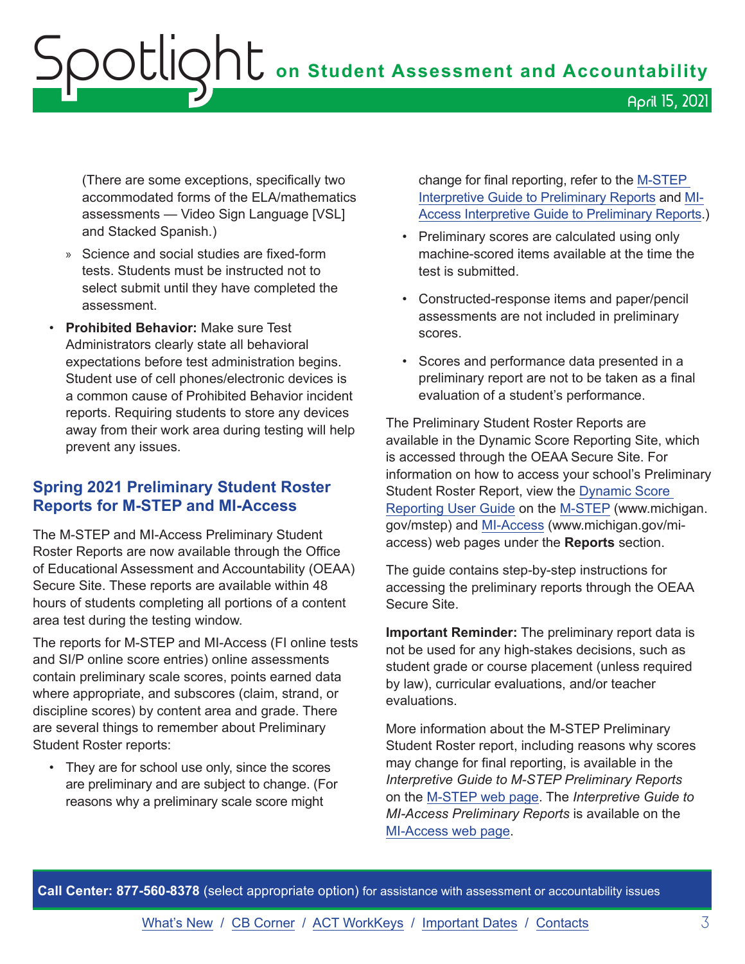<span id="page-2-0"></span>(There are some exceptions, specifically two accommodated forms of the ELA/mathematics assessments — Video Sign Language [VSL] and Stacked Spanish.)

- » Science and social studies are fixed-form tests. Students must be instructed not to select submit until they have completed the assessment.
- **Prohibited Behavior:** Make sure Test Administrators clearly state all behavioral expectations before test administration begins. Student use of cell phones/electronic devices is a common cause of Prohibited Behavior incident reports. Requiring students to store any devices away from their work area during testing will help prevent any issues.

# **Spring 2021 Preliminary Student Roster Reports for M-STEP and MI-Access**

The M-STEP and MI-Access Preliminary Student Roster Reports are now available through the Office of Educational Assessment and Accountability (OEAA) Secure Site. These reports are available within 48 hours of students completing all portions of a content area test during the testing window.

The reports for M-STEP and MI-Access (FI online tests and SI/P online score entries) online assessments contain preliminary scale scores, points earned data where appropriate, and subscores (claim, strand, or discipline scores) by content area and grade. There are several things to remember about Preliminary Student Roster reports:

• They are for school use only, since the scores are preliminary and are subject to change. (For reasons why a preliminary scale score might

change for final reporting, refer to the [M-STEP](https://www.michigan.gov/documents/mde/Interpretive_Guide_to_M-STEP_Preliminary_Reports_721529_7.pdf)  [Interpretive Guide to Preliminary Reports](https://www.michigan.gov/documents/mde/Interpretive_Guide_to_M-STEP_Preliminary_Reports_721529_7.pdf) and [MI-](https://www.michigan.gov/documents/mde/Interpretive_Guide_to_MI-Access_Preliminary_Reports_721566_7.pdf)[Access Interpretive Guide to Preliminary Reports.](https://www.michigan.gov/documents/mde/Interpretive_Guide_to_MI-Access_Preliminary_Reports_721566_7.pdf))

- Preliminary scores are calculated using only machine-scored items available at the time the test is submitted.
- Constructed-response items and paper/pencil assessments are not included in preliminary scores.
- Scores and performance data presented in a preliminary report are not to be taken as a final evaluation of a student's performance.

The Preliminary Student Roster Reports are available in the Dynamic Score Reporting Site, which is accessed through the OEAA Secure Site. For information on how to access your school's Preliminary Student Roster Report, view the [Dynamic Score](https://www.michigan.gov/documents/mde/How_to_Navigate_Dynamic_Score_Reports_532306_7.pdf)  [Reporting User Guide](https://www.michigan.gov/documents/mde/How_to_Navigate_Dynamic_Score_Reports_532306_7.pdf) on the [M-STEP](www.michigan.gov/mstep) (www.michigan. gov/mstep) and [MI-Access](http://www.michigan.gov/mi-access) (www.michigan.gov/miaccess) web pages under the **Reports** section.

The guide contains step-by-step instructions for accessing the preliminary reports through the OEAA Secure Site.

**Important Reminder:** The preliminary report data is not be used for any high-stakes decisions, such as student grade or course placement (unless required by law), curricular evaluations, and/or teacher evaluations.

More information about the M-STEP Preliminary Student Roster report, including reasons why scores may change for final reporting, is available in the *Interpretive Guide to M-STEP Preliminary Reports* on the [M-STEP web page](www.michigan.gov/mstep). The *Interpretive Guide to MI-Access Preliminary Reports* is available on the [MI-Access web page](http://www.michigan.gov/mi-access).

**Call Center: 877-560-8378** (select appropriate option) for assistance with assessment or accountability issues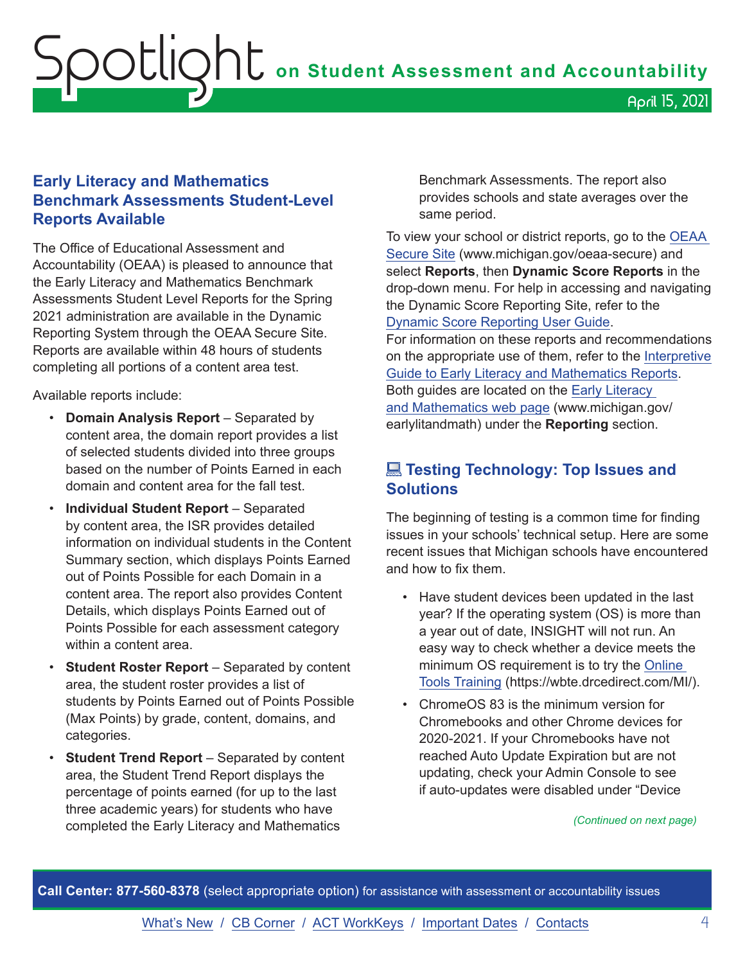# <span id="page-3-0"></span>**Early Literacy and Mathematics Benchmark Assessments Student-Level Reports Available**

The Office of Educational Assessment and Accountability (OEAA) is pleased to announce that the Early Literacy and Mathematics Benchmark Assessments Student Level Reports for the Spring 2021 administration are available in the Dynamic Reporting System through the OEAA Secure Site. Reports are available within 48 hours of students completing all portions of a content area test.

Available reports include:

- **Domain Analysis Report** Separated by content area, the domain report provides a list of selected students divided into three groups based on the number of Points Earned in each domain and content area for the fall test.
- **Individual Student Report** Separated by content area, the ISR provides detailed information on individual students in the Content Summary section, which displays Points Earned out of Points Possible for each Domain in a content area. The report also provides Content Details, which displays Points Earned out of Points Possible for each assessment category within a content area.
- **Student Roster Report**  Separated by content area, the student roster provides a list of students by Points Earned out of Points Possible (Max Points) by grade, content, domains, and categories.
- **Student Trend Report** Separated by content area, the Student Trend Report displays the percentage of points earned (for up to the last three academic years) for students who have completed the Early Literacy and Mathematics

Benchmark Assessments. The report also provides schools and state averages over the same period.

To view your school or district reports, go to the [OEAA](http://www.michigan.gov/oeaa-secure)  [Secure Site](http://www.michigan.gov/oeaa-secure) (www.michigan.gov/oeaa-secure) and select **Reports**, then **Dynamic Score Reports** in the drop-down menu. For help in accessing and navigating the Dynamic Score Reporting Site, refer to the [Dynamic Score Reporting User Guide.](https://www.michigan.gov/documents/mde/How_to_Navigate_Dynamic_Score_Reports_532306_7.pdf)

For information on these reports and recommendations on the appropriate use of them, refer to the [Interpretive](https://www.michigan.gov/documents/mde/19-20_Interpretive_Guide_to_Early_Literacy_and_Mathematics_Reports_662553_7.pdf)  [Guide to Early Literacy and Mathematics Reports](https://www.michigan.gov/documents/mde/19-20_Interpretive_Guide_to_Early_Literacy_and_Mathematics_Reports_662553_7.pdf). Both guides are located on the [Early Literacy](www.michigan.gov/earlylitandmath)  [and Mathematics web page](www.michigan.gov/earlylitandmath) (www.michigan.gov/ earlylitandmath) under the **Reporting** section.

# **External Technology: Top Issues and Solutions**

The beginning of testing is a common time for finding issues in your schools' technical setup. Here are some recent issues that Michigan schools have encountered and how to fix them.

- Have student devices been updated in the last year? If the operating system (OS) is more than a year out of date, INSIGHT will not run. An easy way to check whether a device meets the minimum OS requirement is to try the [Online](https://wbte.drcedirect.com/MI/)  [Tools Training](https://wbte.drcedirect.com/MI/) (https://wbte.drcedirect.com/MI/).
- ChromeOS 83 is the minimum version for Chromebooks and other Chrome devices for 2020-2021. If your Chromebooks have not reached Auto Update Expiration but are not updating, check your Admin Console to see if auto-updates were disabled under "Device

#### *(Continued on next page)*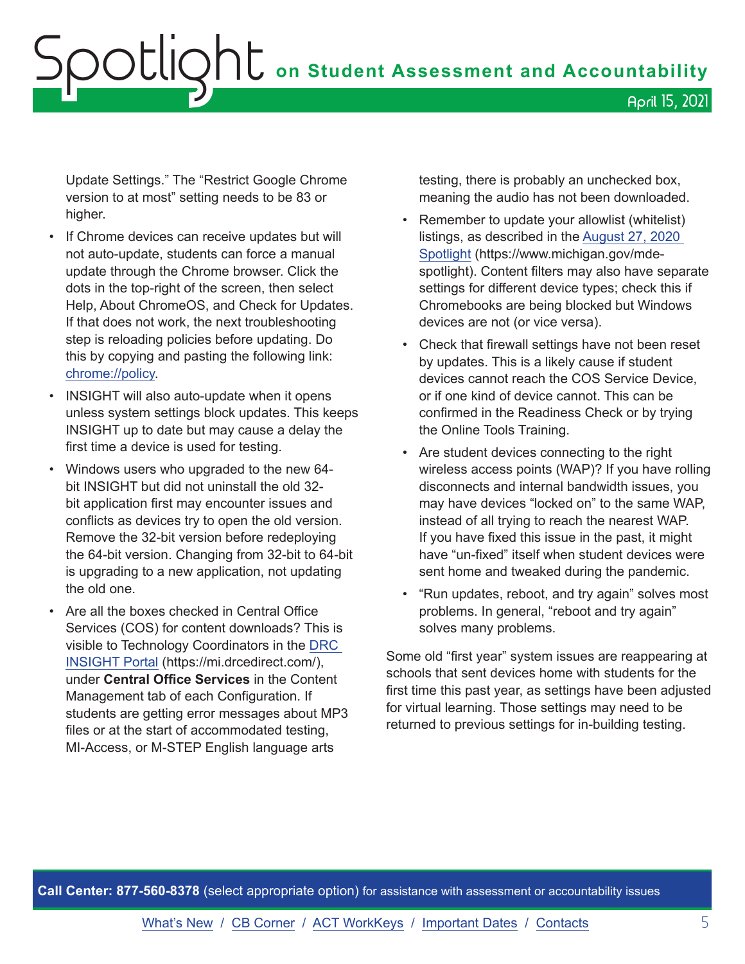Update Settings." The "Restrict Google Chrome version to at most" setting needs to be 83 or higher.

- If Chrome devices can receive updates but will not auto-update, students can force a manual update through the Chrome browser. Click the dots in the top-right of the screen, then select Help, About ChromeOS, and Check for Updates. If that does not work, the next troubleshooting step is reloading policies before updating. Do this by copying and pasting the following link: <chrome://policy>.
- INSIGHT will also auto-update when it opens unless system settings block updates. This keeps INSIGHT up to date but may cause a delay the first time a device is used for testing.
- Windows users who upgraded to the new 64 bit INSIGHT but did not uninstall the old 32 bit application first may encounter issues and conflicts as devices try to open the old version. Remove the 32-bit version before redeploying the 64-bit version. Changing from 32-bit to 64-bit is upgrading to a new application, not updating the old one.
- Are all the boxes checked in Central Office Services (COS) for content downloads? This is visible to Technology Coordinators in the [DRC](https://mi.drcedirect.com)  [INSIGHT Portal](https://mi.drcedirect.com) (https://mi.drcedirect.com/), under **Central Office Services** in the Content Management tab of each Configuration. If students are getting error messages about MP3 files or at the start of accommodated testing, MI-Access, or M-STEP English language arts

testing, there is probably an unchecked box, meaning the audio has not been downloaded.

- Remember to update your allowlist (whitelist) listings, as described in the [August 27, 2020](https://www.michigan.gov/documents/mde/Spotlight_8-27-20_700678_7.pdf)  [Spotlight](https://www.michigan.gov/documents/mde/Spotlight_8-27-20_700678_7.pdf) (https://www.michigan.gov/mdespotlight). Content filters may also have separate settings for different device types; check this if Chromebooks are being blocked but Windows devices are not (or vice versa).
- Check that firewall settings have not been reset by updates. This is a likely cause if student devices cannot reach the COS Service Device, or if one kind of device cannot. This can be confirmed in the Readiness Check or by trying the Online Tools Training.
- Are student devices connecting to the right wireless access points (WAP)? If you have rolling disconnects and internal bandwidth issues, you may have devices "locked on" to the same WAP, instead of all trying to reach the nearest WAP. If you have fixed this issue in the past, it might have "un-fixed" itself when student devices were sent home and tweaked during the pandemic.
- "Run updates, reboot, and try again" solves most problems. In general, "reboot and try again" solves many problems.

Some old "first year" system issues are reappearing at schools that sent devices home with students for the first time this past year, as settings have been adjusted for virtual learning. Those settings may need to be returned to previous settings for in-building testing.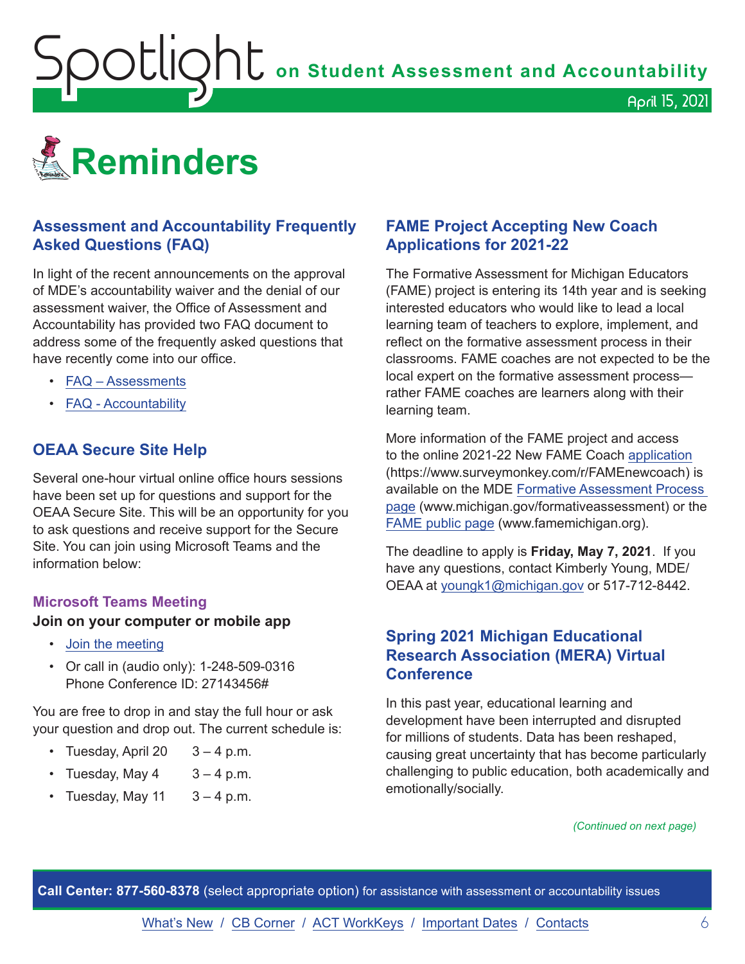<span id="page-5-1"></span>**OOUQNU** on Student Assessment and Accountability

<span id="page-5-0"></span>

# **Assessment and Accountability Frequently Asked Questions (FAQ)**

In light of the recent announcements on the approval of MDE's accountability waiver and the denial of our assessment waiver, the Office of Assessment and Accountability has provided two FAQ document to address some of the frequently asked questions that have recently come into our office.

- [FAQ Assessments](https://www.michigan.gov/documents/mde/Spring_2021_Summative_Assessments_FAQ_721789_7.pdf)
- [FAQ Accountability](https://www.michigan.gov/documents/mde/Michigan_School_Accountability_Planning_and_Response_to_COVID-19_701197_7.pdf)

# **OEAA Secure Site Help**

Several one-hour virtual online office hours sessions have been set up for questions and support for the OEAA Secure Site. This will be an opportunity for you to ask questions and receive support for the Secure Site. You can join using Microsoft Teams and the information below:

#### **Microsoft Teams Meeting**

#### **Join on your computer or mobile app**

- [Join the meeting](https://teams.microsoft.com/l/meetup-join/19%3ameeting_MzAyYzkwNTctMGU0ZC00Y2ZmLWFjNTEtZTRhYTQzN2UyMGM5%40thread.v2/0?context=%7b%22Tid%22%3a%22d5fb7087-3777-42ad-966a-892ef47225d1%22%2c%22Oid%22%3a%226100384c-b357-44a8-8e52-653af03855b7%22%7d)
- Or call in (audio only): 1-248-509-0316 Phone Conference ID: 27143456#

You are free to drop in and stay the full hour or ask your question and drop out. The current schedule is:

- Tuesday, April 20  $3 4$  p.m.
- Tuesday, May  $4 \times 3 4$  p.m.
- Tuesday, May 11  $3 4$  p.m.

## **FAME Project Accepting New Coach Applications for 2021-22**

The Formative Assessment for Michigan Educators (FAME) project is entering its 14th year and is seeking interested educators who would like to lead a local learning team of teachers to explore, implement, and reflect on the formative assessment process in their classrooms. FAME coaches are not expected to be the local expert on the formative assessment process rather FAME coaches are learners along with their learning team.

April 15, 2021

More information of the FAME project and access to the online 2021-22 New FAME Coach [application](https://www.surveymonkey.com/r/FAMEnewcoach) (https://www.surveymonkey.com/r/FAMEnewcoach) is available on the MDE [Formative Assessment Process](http://www.michigan.gov/formativeassessment)  [page](http://www.michigan.gov/formativeassessment) (www.michigan.gov/formativeassessment) or the [FAME public page](http://www.FAMEMichigan.org) (www.famemichigan.org).

The deadline to apply is **Friday, May 7, 2021**. If you have any questions, contact Kimberly Young, MDE/ OEAA at [youngk1@michigan.gov](mailto:youngk1%40michigan.gov?subject=) or 517-712-8442.

# **Spring 2021 Michigan Educational Research Association (MERA) Virtual Conference**

In this past year, educational learning and development have been interrupted and disrupted for millions of students. Data has been reshaped, causing great uncertainty that has become particularly challenging to public education, both academically and emotionally/socially.

#### *(Continued on next page)*

**Call Center: 877-560-8378** (select appropriate option) for assistance with assessment or accountability issues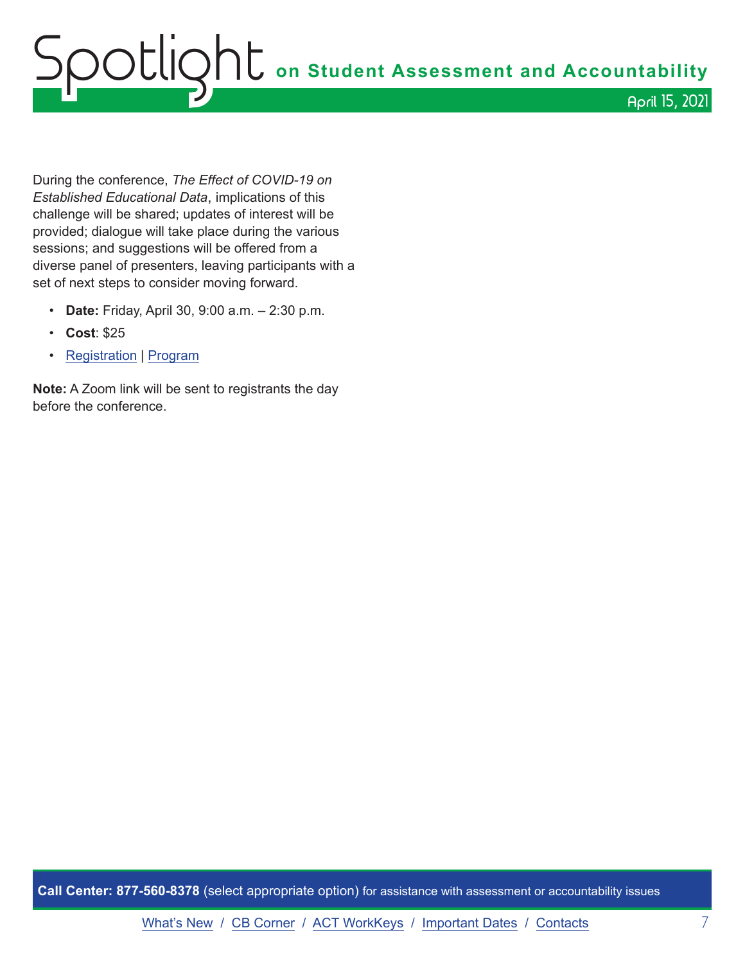During the conference, *The Effect of COVID-19 on Established Educational Data*, implications of this challenge will be shared; updates of interest will be provided; dialogue will take place during the various sessions; and suggestions will be offered from a diverse panel of presenters, leaving participants with a set of next steps to consider moving forward.

- **Date:** Friday, April 30, 9:00 a.m. 2:30 p.m.
- **Cost**: \$25
- [Registration](https://catalog.geneseeisd.org/catalog/eventdetails/1828) | [Program](https://www.smore.com/645dp)

**Note:** A Zoom link will be sent to registrants the day before the conference.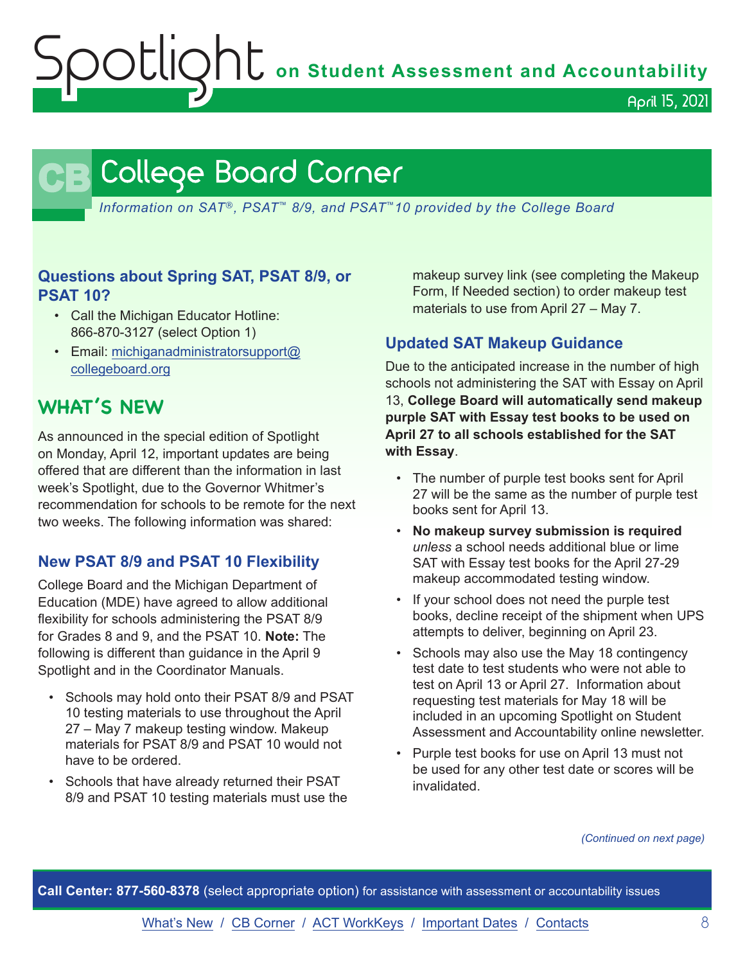OUIQNU on Student Assessment and Accountability

April 15, 2021

# **CB** College Board Corner

<span id="page-7-0"></span>*Information on SAT*®*, PSAT*™ *8/9, and PSAT*™*10 provided by the College Board*

# **Questions about Spring SAT, PSAT 8/9, or PSAT 10?**

- Call the Michigan Educator Hotline: 866-870-3127 (select Option 1)
- Email: [michiganadministratorsupport@](mailto:michiganadministratorsupport%40collegeboard.org?subject=) [collegeboard.org](mailto:michiganadministratorsupport%40collegeboard.org?subject=)

# **WHAT'S NEW**

As announced in the special edition of Spotlight on Monday, April 12, important updates are being offered that are different than the information in last week's Spotlight, due to the Governor Whitmer's recommendation for schools to be remote for the next two weeks. The following information was shared:

# **New PSAT 8/9 and PSAT 10 Flexibility**

College Board and the Michigan Department of Education (MDE) have agreed to allow additional flexibility for schools administering the PSAT 8/9 for Grades 8 and 9, and the PSAT 10. **Note:** The following is different than guidance in the April 9 Spotlight and in the Coordinator Manuals.

- Schools may hold onto their PSAT 8/9 and PSAT 10 testing materials to use throughout the April 27 – May 7 makeup testing window. Makeup materials for PSAT 8/9 and PSAT 10 would not have to be ordered.
- Schools that have already returned their PSAT 8/9 and PSAT 10 testing materials must use the

makeup survey link (see completing the Makeup Form, If Needed section) to order makeup test materials to use from April 27 – May 7.

# **Updated SAT Makeup Guidance**

Due to the anticipated increase in the number of high schools not administering the SAT with Essay on April 13, **College Board will automatically send makeup purple SAT with Essay test books to be used on April 27 to all schools established for the SAT with Essay**.

- The number of purple test books sent for April 27 will be the same as the number of purple test books sent for April 13.
- **No makeup survey submission is required**  *unless* a school needs additional blue or lime SAT with Essay test books for the April 27-29 makeup accommodated testing window.
- If your school does not need the purple test books, decline receipt of the shipment when UPS attempts to deliver, beginning on April 23.
- Schools may also use the May 18 contingency test date to test students who were not able to test on April 13 or April 27. Information about requesting test materials for May 18 will be included in an upcoming Spotlight on Student Assessment and Accountability online newsletter.
- Purple test books for use on April 13 must not be used for any other test date or scores will be invalidated.

*(Continued on next page)*

**Call Center: 877-560-8378** (select appropriate option) for assistance with assessment or accountability issues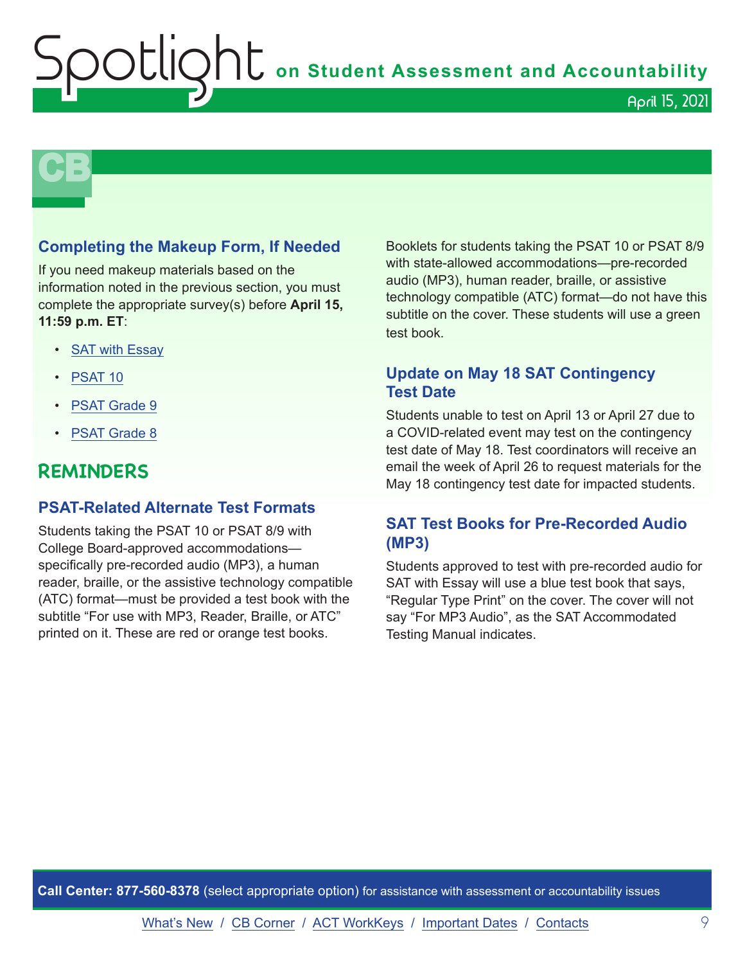**Shums** on Student Assessment and Accountability

# **CB**

# **Completing the Makeup Form, If Needed**

If you need makeup materials based on the information noted in the previous section, you must complete the appropriate survey(s) before **April 15, 11:59 p.m. ET**:

- [SAT with Essay](https://www.surveyresearchonline.com/se/7321E7ED57630E2F)
- [PSAT 10](https://www.surveyresearchonline.com/se/7321E7ED5B40B2AF)
- [PSAT Grade 9](https://www.surveyresearchonline.com/se/7321E7ED33A7FD61)
- [PSAT Grade 8](https://www.surveyresearchonline.com/se/7321E7ED5492E3E6)

# **REMINDERS**

## **PSAT-Related Alternate Test Formats**

Students taking the PSAT 10 or PSAT 8/9 with College Board-approved accommodations specifically pre-recorded audio (MP3), a human reader, braille, or the assistive technology compatible (ATC) format—must be provided a test book with the subtitle "For use with MP3, Reader, Braille, or ATC" printed on it. These are red or orange test books.

Booklets for students taking the PSAT 10 or PSAT 8/9 with state-allowed accommodations—pre-recorded audio (MP3), human reader, braille, or assistive technology compatible (ATC) format—do not have this subtitle on the cover. These students will use a green test book.

# **Update on May 18 SAT Contingency Test Date**

Students unable to test on April 13 or April 27 due to a COVID-related event may test on the contingency test date of May 18. Test coordinators will receive an email the week of April 26 to request materials for the May 18 contingency test date for impacted students.

# **SAT Test Books for Pre-Recorded Audio (MP3)**

Students approved to test with pre-recorded audio for SAT with Essay will use a blue test book that says, "Regular Type Print" on the cover. The cover will not say "For MP3 Audio", as the SAT Accommodated Testing Manual indicates.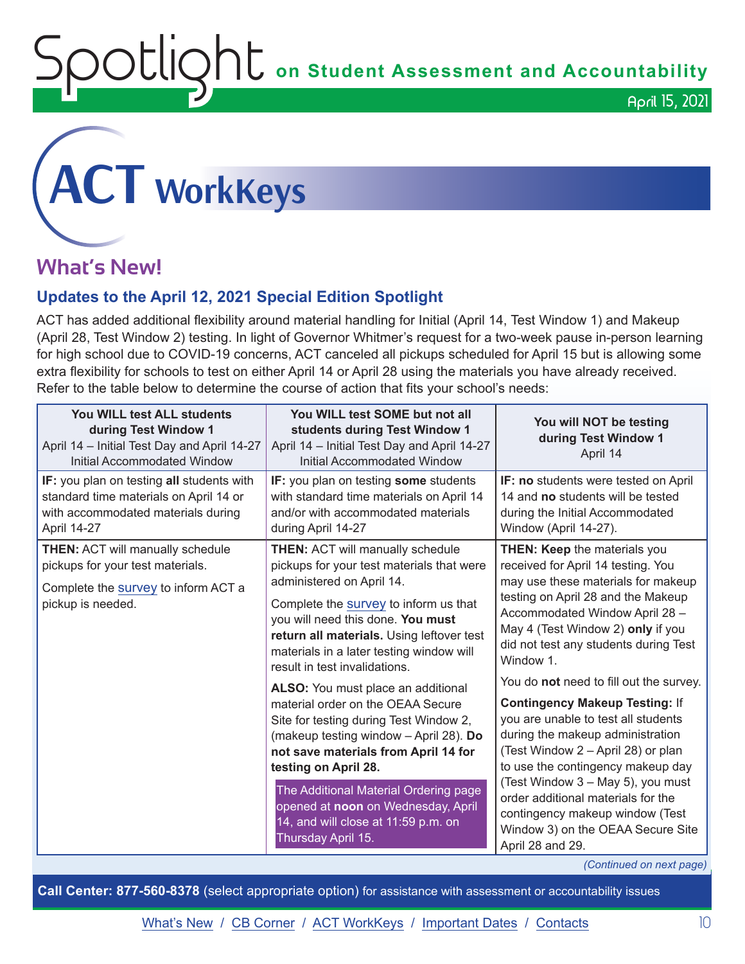OCLION<sub>L</sub> on Student Assessment and Accountability

April 15, 2021

# <span id="page-9-0"></span>**ACT WorkKeys**

# **What's New!**

# **Updates to the April 12, 2021 Special Edition Spotlight**

ACT has added additional flexibility around material handling for Initial (April 14, Test Window 1) and Makeup (April 28, Test Window 2) testing. In light of Governor Whitmer's request for a two-week pause in-person learning for high school due to COVID-19 concerns, ACT canceled all pickups scheduled for April 15 but is allowing some extra flexibility for schools to test on either April 14 or April 28 using the materials you have already received. Refer to the table below to determine the course of action that fits your school's needs:

| You WILL test ALL students<br>during Test Window 1<br>April 14 - Initial Test Day and April 14-27<br>Initial Accommodated Window                | You WILL test SOME but not all<br>students during Test Window 1<br>April 14 - Initial Test Day and April 14-27<br><b>Initial Accommodated Window</b>                                                                                                                                                                                                                                                                                                                                                                                                                                                                                                                                                 | You will NOT be testing<br>during Test Window 1<br>April 14                                                                                                                                                                                                                                                                                                                                                                                                                                                                                                                                                                                                                                  |
|-------------------------------------------------------------------------------------------------------------------------------------------------|------------------------------------------------------------------------------------------------------------------------------------------------------------------------------------------------------------------------------------------------------------------------------------------------------------------------------------------------------------------------------------------------------------------------------------------------------------------------------------------------------------------------------------------------------------------------------------------------------------------------------------------------------------------------------------------------------|----------------------------------------------------------------------------------------------------------------------------------------------------------------------------------------------------------------------------------------------------------------------------------------------------------------------------------------------------------------------------------------------------------------------------------------------------------------------------------------------------------------------------------------------------------------------------------------------------------------------------------------------------------------------------------------------|
| IF: you plan on testing all students with<br>standard time materials on April 14 or<br>with accommodated materials during<br><b>April 14-27</b> | IF: you plan on testing some students<br>with standard time materials on April 14<br>and/or with accommodated materials<br>during April 14-27                                                                                                                                                                                                                                                                                                                                                                                                                                                                                                                                                        | IF: no students were tested on April<br>14 and no students will be tested<br>during the Initial Accommodated<br>Window (April 14-27).                                                                                                                                                                                                                                                                                                                                                                                                                                                                                                                                                        |
| <b>THEN: ACT will manually schedule</b><br>pickups for your test materials.<br>Complete the survey to inform ACT a<br>pickup is needed.         | <b>THEN: ACT will manually schedule</b><br>pickups for your test materials that were<br>administered on April 14.<br>Complete the survey to inform us that<br>you will need this done. You must<br>return all materials. Using leftover test<br>materials in a later testing window will<br>result in test invalidations.<br>ALSO: You must place an additional<br>material order on the OEAA Secure<br>Site for testing during Test Window 2,<br>(makeup testing window - April 28). Do<br>not save materials from April 14 for<br>testing on April 28.<br>The Additional Material Ordering page<br>opened at noon on Wednesday, April<br>14, and will close at 11:59 p.m. on<br>Thursday April 15. | THEN: Keep the materials you<br>received for April 14 testing. You<br>may use these materials for makeup<br>testing on April 28 and the Makeup<br>Accommodated Window April 28 -<br>May 4 (Test Window 2) only if you<br>did not test any students during Test<br>Window 1.<br>You do not need to fill out the survey.<br><b>Contingency Makeup Testing: If</b><br>you are unable to test all students<br>during the makeup administration<br>(Test Window 2 - April 28) or plan<br>to use the contingency makeup day<br>(Test Window 3 - May 5), you must<br>order additional materials for the<br>contingency makeup window (Test<br>Window 3) on the OEAA Secure Site<br>April 28 and 29. |

*(Continued on next page)*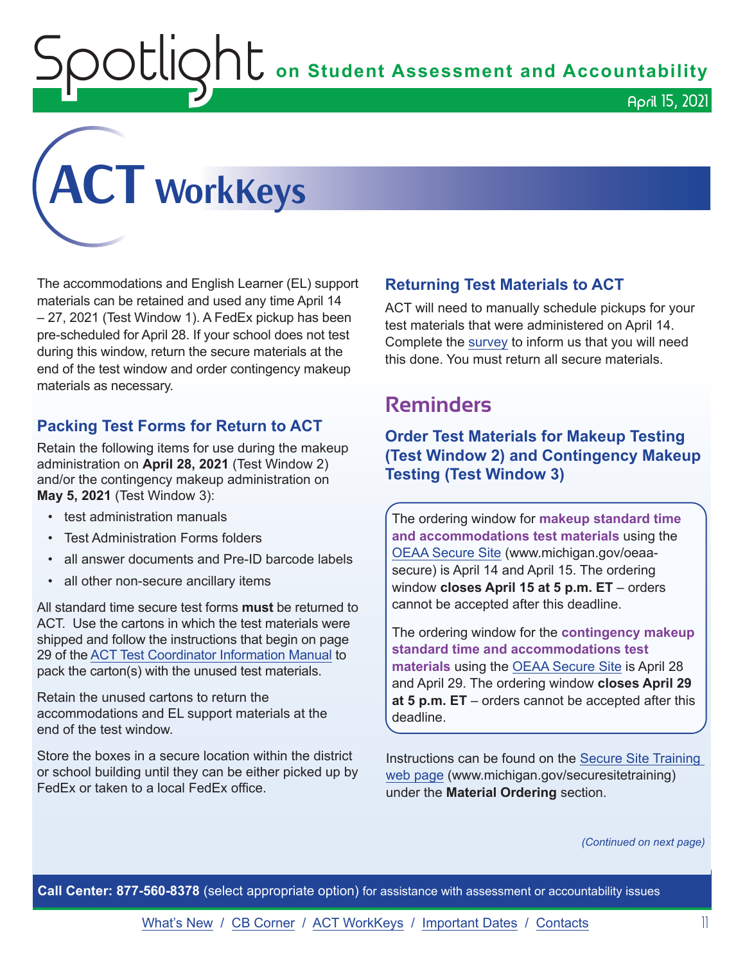$\mathop{\rm OCL}$  $\mathop{\rm OCL}$  on Student Assessment and Accountability

April 15, 2021



The accommodations and English Learner (EL) support materials can be retained and used any time April 14 – 27, 2021 (Test Window 1). A FedEx pickup has been pre-scheduled for April 28. If your school does not test during this window, return the secure materials at the end of the test window and order contingency makeup materials as necessary.

# **Packing Test Forms for Return to ACT**

Retain the following items for use during the makeup administration on **April 28, 2021** (Test Window 2) and/or the contingency makeup administration on **May 5, 2021** (Test Window 3):

- test administration manuals
- Test Administration Forms folders
- all answer documents and Pre-ID barcode labels
- all other non-secure ancillary items

All standard time secure test forms **must** be returned to ACT. Use the cartons in which the test materials were shipped and follow the instructions that begin on page 29 of the [ACT Test Coordinator Information Manual](https://www.act.org/content/dam/act/secured/documents/pdfs/state-district-test-coordinator-paper-test.pdf) to pack the carton(s) with the unused test materials.

Retain the unused cartons to return the accommodations and EL support materials at the end of the test window.

Store the boxes in a secure location within the district or school building until they can be either picked up by FedEx or taken to a local FedEx office.

# **Returning Test Materials to ACT**

ACT will need to manually schedule pickups for your test materials that were administered on April 14. Complete the [survey](https://forms.office.com/Pages/ResponsePage.aspx?id=RgPLZYid2UGMpvcgR2cND3n2x74ap7JBnVAEYuQQJURUQlNUQjBHQUw1Rk9HUkk2RE1KSlNHM1VOMC4u) to inform us that you will need this done. You must return all secure materials.

# **Reminders**

**Order Test Materials for Makeup Testing (Test Window 2) and Contingency Makeup Testing (Test Window 3)**

The ordering window for **makeup standard time and accommodations test materials** using the [OEAA Secure Site](http://www.michigan.gov/oeaa-secure) (www.michigan.gov/oeaasecure) is April 14 and April 15. The ordering window **closes April 15 at 5 p.m. ET** – orders cannot be accepted after this deadline.

The ordering window for the **contingency makeup standard time and accommodations test materials** using the [OEAA Secure Site](http://www.michigan.gov/oeaa-secure) is April 28 and April 29. The ordering window **closes April 29 at 5 p.m. ET** – orders cannot be accepted after this deadline.

Instructions can be found on the [Secure Site Training](http://www.michigan.gov/securesitetraining)  [web page](http://www.michigan.gov/securesitetraining) (www.michigan.gov/securesitetraining) under the **Material Ordering** section.

*(Continued on next page)*

**Call Center: 877-560-8378** (select appropriate option) for assistance with assessment or accountability issues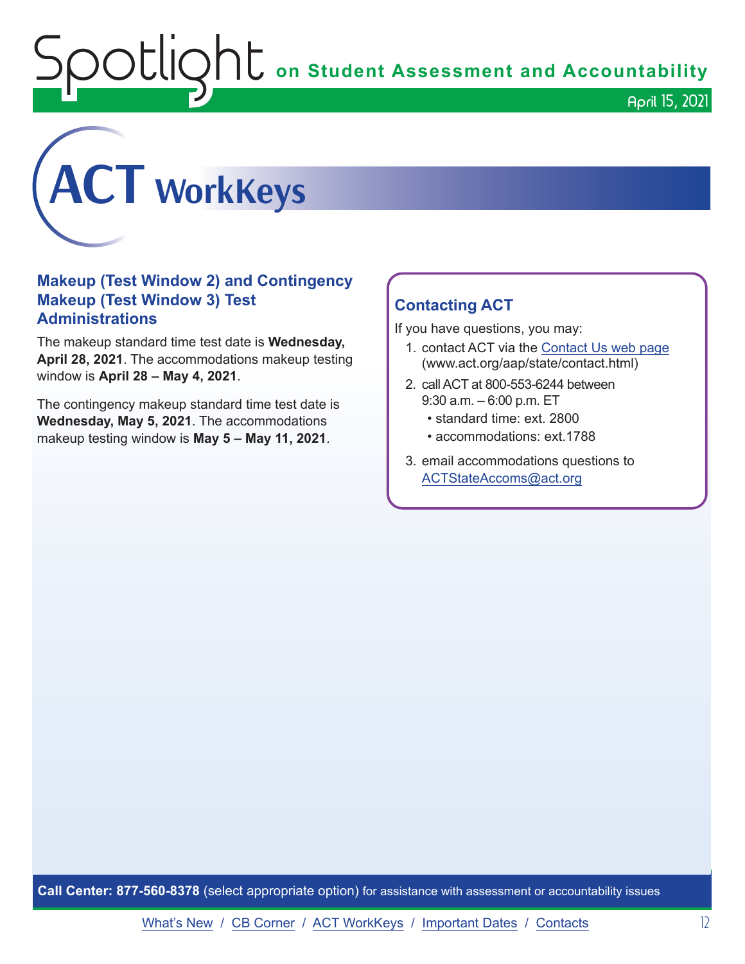**OOUQNU** on Student Assessment and Accountability



# **Makeup (Test Window 2) and Contingency Makeup (Test Window 3) Test Administrations**

The makeup standard time test date is **Wednesday, April 28, 2021**. The accommodations makeup testing window is **April 28 – May 4, 2021**.

The contingency makeup standard time test date is **Wednesday, May 5, 2021**. The accommodations makeup testing window is **May 5 – May 11, 2021**.

# **Contacting ACT**

If you have questions, you may:

- 1. contact ACT via the [Contact Us web page](http://www.act.org/aap/state/contact.html) ([www.act.org/aap/state/contact.html](https://www.act.org/aap/state/contact.html))
- 2. call ACT at 800-553-6244 between 9:30 a.m. – 6:00 p.m. ET
	- standard time: ext. 2800
	- accommodations: ext.1788
- 3. email accommodations questions to [ACTStateAccoms@act.org](mailto:ACTStateAccoms%40act.org?subject=)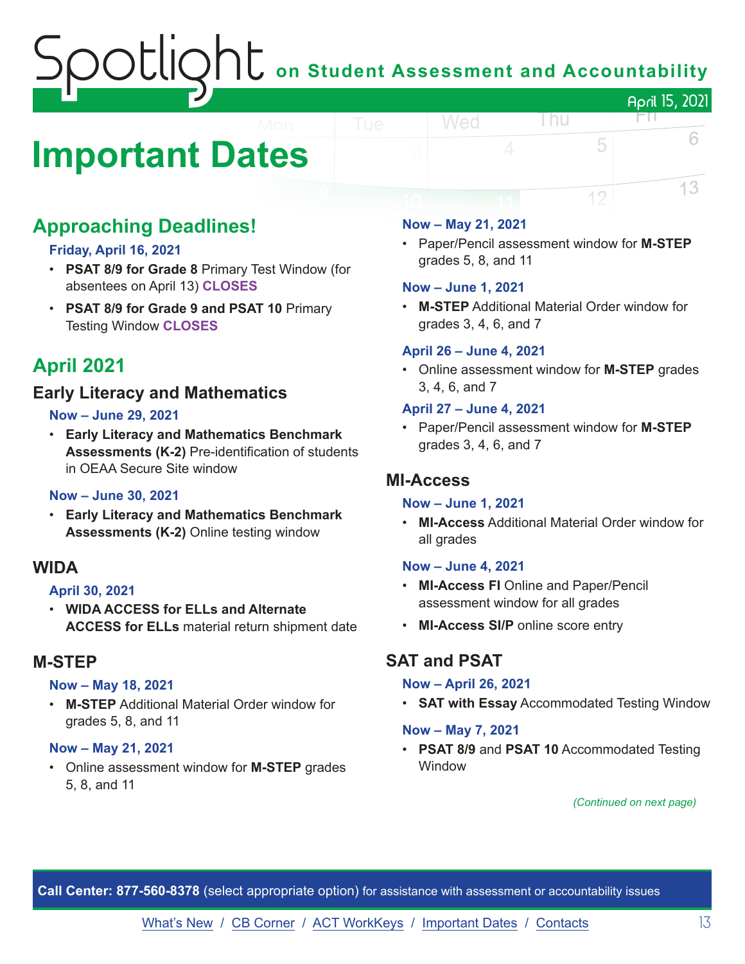# **J U** on Student Assessment and Accountability April 15, 2021

# <span id="page-12-0"></span>**Important Dates**

# **Approaching Deadlines!**

# **Friday, April 16, 2021**

- **PSAT 8/9 for Grade 8** Primary Test Window (for absentees on April 13) **CLOSES**
- **PSAT 8/9 for Grade 9 and PSAT 10** Primary Testing Window **CLOSES**

# **April 2021**

# **Early Literacy and Mathematics**

## **Now – June 29, 2021**

• **Early Literacy and Mathematics Benchmark Assessments (K-2)** Pre-identification of students in OEAA Secure Site window

## **Now – June 30, 2021**

• **Early Literacy and Mathematics Benchmark Assessments (K-2)** Online testing window

# **WIDA**

## **April 30, 2021**

• **WIDA ACCESS for ELLs and Alternate ACCESS for ELLs** material return shipment date

# **M-STEP**

#### **Now – May 18, 2021**

• **M-STEP** Additional Material Order window for grades 5, 8, and 11

#### **Now – May 21, 2021**

• Online assessment window for **M-STEP** grades 5, 8, and 11

#### **Now – May 21, 2021**

Wed

• Paper/Pencil assessment window for **M-STEP** grades 5, 8, and 11

l nu

FN.

5

12

6

13

#### **Now – June 1, 2021**

• **M-STEP** Additional Material Order window for grades 3, 4, 6, and 7

#### **April 26 – June 4, 2021**

• Online assessment window for **M-STEP** grades 3, 4, 6, and 7

## **April 27 – June 4, 2021**

• Paper/Pencil assessment window for **M-STEP**  grades 3, 4, 6, and 7

# **MI-Access**

#### **Now – June 1, 2021**

• **MI-Access** Additional Material Order window for all grades

#### **Now – June 4, 2021**

- **MI-Access FI** Online and Paper/Pencil assessment window for all grades
- **MI-Access SI/P** online score entry

# **SAT and PSAT**

#### **Now – April 26, 2021**

• **SAT with Essay** Accommodated Testing Window

#### **Now – May 7, 2021**

• **PSAT 8/9** and **PSAT 10** Accommodated Testing **Window** 

*(Continued on next page)*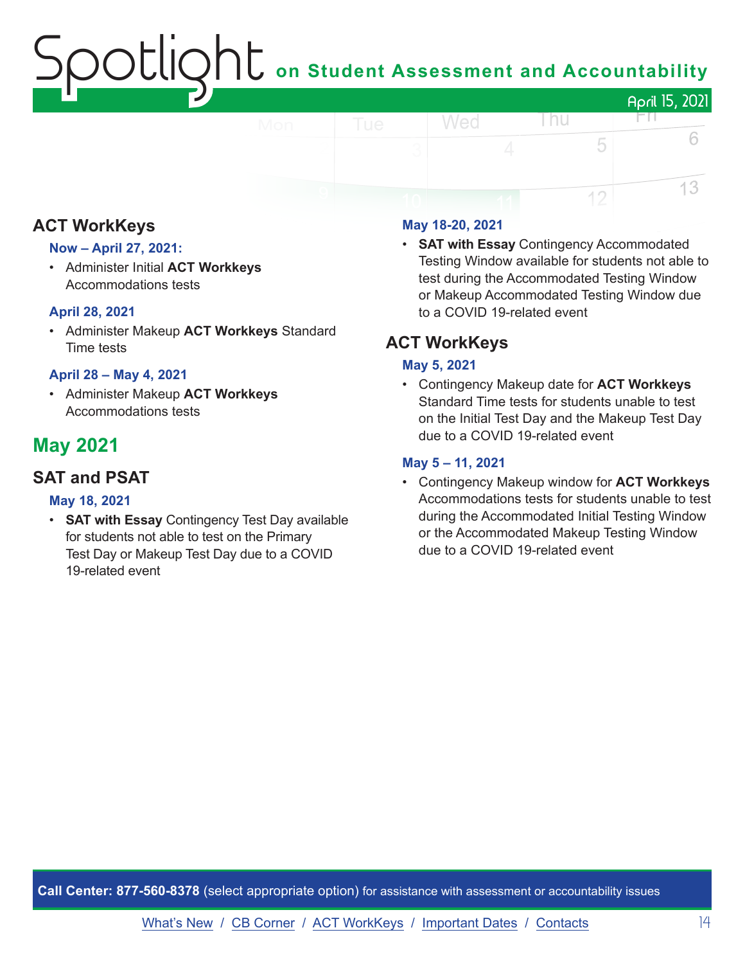# on Student Assessment and Accountability

#### April 15, 2021 Wed l nu HT N 6 5 13 12

# **ACT WorkKeys**

# **Now – April 27, 2021:**

• Administer Initial **ACT Workkeys** Accommodations tests

# **April 28, 2021**

• Administer Makeup **ACT Workkeys** Standard Time tests

# **April 28 – May 4, 2021**

• Administer Makeup **ACT Workkeys** Accommodations tests

# **May 2021**

# **SAT and PSAT**

## **May 18, 2021**

• **SAT with Essay** Contingency Test Day available for students not able to test on the Primary Test Day or Makeup Test Day due to a COVID 19-related event

# **May 18-20, 2021**

• **SAT with Essay** Contingency Accommodated Testing Window available for students not able to test during the Accommodated Testing Window or Makeup Accommodated Testing Window due to a COVID 19-related event

# **ACT WorkKeys**

## **May 5, 2021**

• Contingency Makeup date for **ACT Workkeys** Standard Time tests for students unable to test on the Initial Test Day and the Makeup Test Day due to a COVID 19-related event

## **May 5 – 11, 2021**

• Contingency Makeup window for **ACT Workkeys** Accommodations tests for students unable to test during the Accommodated Initial Testing Window or the Accommodated Makeup Testing Window due to a COVID 19-related event